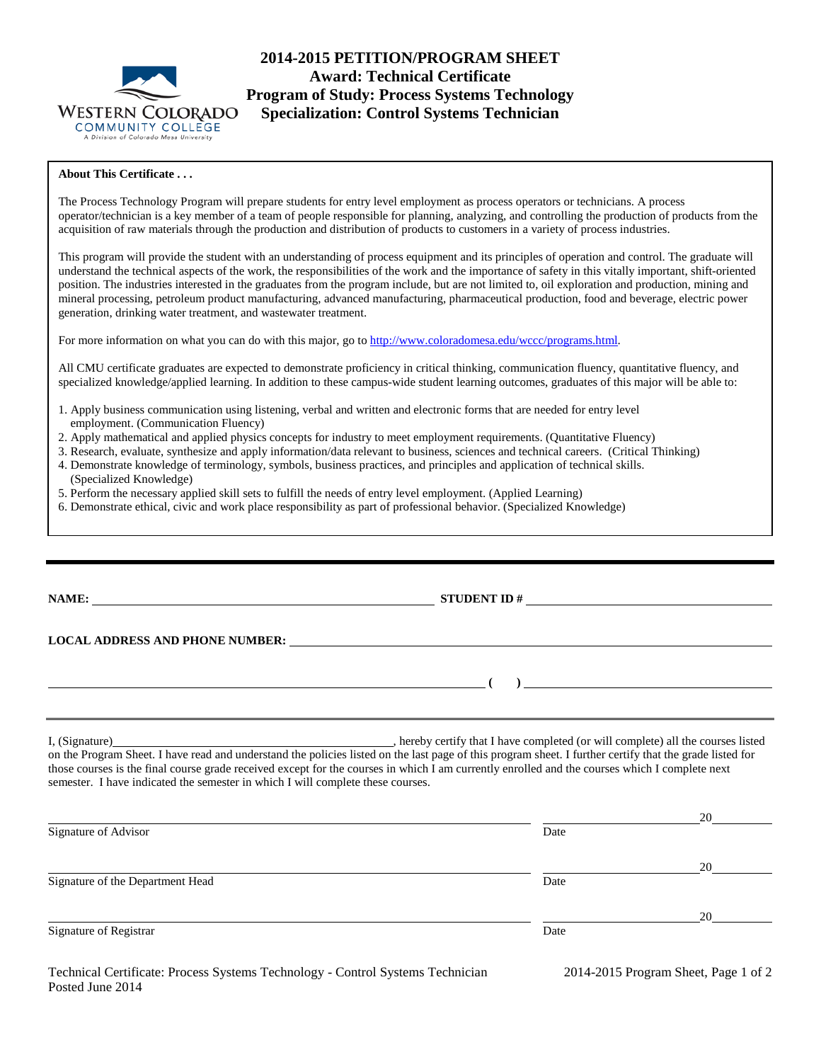

# **2014-2015 PETITION/PROGRAM SHEET Award: Technical Certificate Program of Study: Process Systems Technology Specialization: Control Systems Technician**

## **About This Certificate . . .**

The Process Technology Program will prepare students for entry level employment as process operators or technicians. A process operator/technician is a key member of a team of people responsible for planning, analyzing, and controlling the production of products from the acquisition of raw materials through the production and distribution of products to customers in a variety of process industries.

This program will provide the student with an understanding of process equipment and its principles of operation and control. The graduate will understand the technical aspects of the work, the responsibilities of the work and the importance of safety in this vitally important, shift-oriented position. The industries interested in the graduates from the program include, but are not limited to, oil exploration and production, mining and mineral processing, petroleum product manufacturing, advanced manufacturing, pharmaceutical production, food and beverage, electric power generation, drinking water treatment, and wastewater treatment.

For more information on what you can do with this major, go to [http://www.coloradomesa.edu/wccc/programs.html.](http://www.coloradomesa.edu/wccc/programs.html)

All CMU certificate graduates are expected to demonstrate proficiency in critical thinking, communication fluency, quantitative fluency, and specialized knowledge/applied learning. In addition to these campus-wide student learning outcomes, graduates of this major will be able to:

- 1. Apply business communication using listening, verbal and written and electronic forms that are needed for entry level employment. (Communication Fluency)
- 2. Apply mathematical and applied physics concepts for industry to meet employment requirements. (Quantitative Fluency)
- 3. Research, evaluate, synthesize and apply information/data relevant to business, sciences and technical careers. (Critical Thinking)
- 4. Demonstrate knowledge of terminology, symbols, business practices, and principles and application of technical skills. (Specialized Knowledge)
- 5. Perform the necessary applied skill sets to fulfill the needs of entry level employment. (Applied Learning)
- 6. Demonstrate ethical, civic and work place responsibility as part of professional behavior. (Specialized Knowledge)

| STUDENT ID # $\qquad \qquad$                                                                                                                                                                                                                                                                                                                                                                                |  |
|-------------------------------------------------------------------------------------------------------------------------------------------------------------------------------------------------------------------------------------------------------------------------------------------------------------------------------------------------------------------------------------------------------------|--|
|                                                                                                                                                                                                                                                                                                                                                                                                             |  |
|                                                                                                                                                                                                                                                                                                                                                                                                             |  |
| $\overline{a}$                                                                                                                                                                                                                                                                                                                                                                                              |  |
|                                                                                                                                                                                                                                                                                                                                                                                                             |  |
| I, (Signature) hereby certify that I have completed (or will complete) all the courses listed<br>on the Program Sheet. I have read and understand the policies listed on the last page of this program sheet. I further certify that the grade listed for<br>those courses is the final course grade received except for the courses in which I am currently enrolled and the courses which I complete next |  |

| semester. I have indicated the semester in which I will complete these courses. |      |    |
|---------------------------------------------------------------------------------|------|----|
|                                                                                 |      | 20 |
| Signature of Advisor                                                            | Date |    |
|                                                                                 |      | 20 |
| Signature of the Department Head                                                | Date |    |
|                                                                                 |      | 20 |
| Signature of Registrar                                                          | Date |    |

semester. I have indicated the semester in which I will complete these courses.